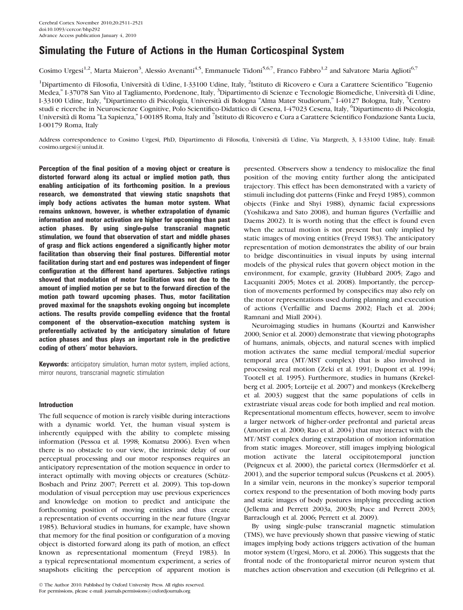# Simulating the Future of Actions in the Human Corticospinal System

Cosimo Urgesi<sup>1,2</sup>, Marta Maieron<sup>3</sup>, Alessio Avenanti<sup>4,5</sup>, Emmanuele Tidoni<sup>5,6,7</sup>, Franco Fabbro<sup>1,2</sup> and Salvatore Maria Aglioti<sup>6,7</sup>

<sup>1</sup>Dipartimento di Filosofia, Università di Udine, I-33100 Udine, Italy, <sup>2</sup>Istituto di Ricovero e Cura a Carattere Scientifico "Eugenio Medea," I-37078 San Vito al Tagliamento, Pordenone, Italy, <sup>3</sup>Dipartimento di Scienze e Tecnologie Biomediche, Università di Udine, I-33100 Udine, Italy, <sup>4</sup>Dipartimento di Psicologia, Università di Bologna "Alma Mater Studiorum," I-40127 Bologna, Italy, <sup>5</sup>Centro studi e ricerche in Neuroscienze Cognitive, Polo Scientifico-Didattico di Cesena, I-47023 Cesena, Italy, <sup>6</sup>Dipartimento di Psicologia, Università di Roma "La Sapienza," I-00185 Roma, Italy and <sup>7</sup>Istituto di Ricovero e Cura a Carattere Scientifico Fondazione Santa Lucia, I-00179 Roma, Italy

Address correspondence to Cosimo Urgesi, PhD, Dipartimento di Filosofia, Universita` di Udine, Via Margreth, 3, I-33100 Udine, Italy. Email: cosimo.urgesi@uniud.it.

Perception of the final position of a moving object or creature is distorted forward along its actual or implied motion path, thus enabling anticipation of its forthcoming position. In a previous research, we demonstrated that viewing static snapshots that imply body actions activates the human motor system. What remains unknown, however, is whether extrapolation of dynamic information and motor activation are higher for upcoming than past action phases. By using single-pulse transcranial magnetic stimulation, we found that observation of start and middle phases of grasp and flick actions engendered a significantly higher motor facilitation than observing their final postures. Differential motor facilitation during start and end postures was independent of finger configuration at the different hand apertures. Subjective ratings showed that modulation of motor facilitation was not due to the amount of implied motion per se but to the forward direction of the motion path toward upcoming phases. Thus, motor facilitation proved maximal for the snapshots evoking ongoing but incomplete actions. The results provide compelling evidence that the frontal component of the observation--execution matching system is preferentially activated by the anticipatory simulation of future action phases and thus plays an important role in the predictive coding of others' motor behaviors.

**Keywords:** anticipatory simulation, human motor system, implied actions, mirror neurons, transcranial magnetic stimulation

# Introduction

The full sequence of motion is rarely visible during interactions with a dynamic world. Yet, the human visual system is inherently equipped with the ability to complete missing information (Pessoa et al. 1998; Komatsu 2006). Even when there is no obstacle to our view, the intrinsic delay of our perceptual processing and our motor responses requires an anticipatory representation of the motion sequence in order to interact optimally with moving objects or creatures (Schütz-Bosbach and Prinz 2007; Perrett et al. 2009). This top-down modulation of visual perception may use previous experiences and knowledge on motion to predict and anticipate the forthcoming position of moving entities and thus create a representation of events occurring in the near future (Ingvar 1985). Behavioral studies in humans, for example, have shown that memory for the final position or configuration of a moving object is distorted forward along its path of motion, an effect known as representational momentum (Freyd 1983). In a typical representational momentum experiment, a series of snapshots eliciting the perception of apparent motion is

presented. Observers show a tendency to mislocalize the final position of the moving entity further along the anticipated trajectory. This effect has been demonstrated with a variety of stimuli including dot patterns (Finke and Freyd 1985), common objects (Finke and Shyi 1988), dynamic facial expressions (Yoshikawa and Sato 2008), and human figures (Verfaillie and Daems 2002). It is worth noting that the effect is found even when the actual motion is not present but only implied by static images of moving entities (Freyd 1983). The anticipatory representation of motion demonstrates the ability of our brain to bridge discontinuities in visual inputs by using internal models of the physical rules that govern object motion in the environment, for example, gravity (Hubbard 2005; Zago and Lacquaniti 2005; Motes et al. 2008). Importantly, the perception of movements performed by conspecifics may also rely on the motor representations used during planning and execution of actions (Verfaillie and Daems 2002; Flach et al. 2004; Ramnani and Miall 2004).

Neuroimaging studies in humans (Kourtzi and Kanwisher 2000; Senior et al. 2000) demonstrate that viewing photographs of humans, animals, objects, and natural scenes with implied motion activates the same medial temporal/medial superior temporal area (MT/MST complex) that is also involved in processing real motion (Zeki et al. 1991; Dupont et al. 1994; Tootell et al. 1995). Furthermore, studies in humans (Krekelberg et al. 2005; Lorteije et al. 2007) and monkeys (Krekelberg et al. 2003) suggest that the same populations of cells in extrastriate visual areas code for both implied and real motion. Representational momentum effects, however, seem to involve a larger network of higher-order prefrontal and parietal areas (Amorim et al. 2000; Rao et al. 2004) that may interact with the MT/MST complex during extrapolation of motion information from static images. Moreover, still images implying biological motion activate the lateral occipitotemporal junction (Peigneux et al. 2000), the parietal cortex (Hermsdörfer et al. 2001), and the superior temporal sulcus (Peuskens et al. 2005). In a similar vein, neurons in the monkey's superior temporal cortex respond to the presentation of both moving body parts and static images of body postures implying preceding action (Jellema and Perrett 2003a, 2003b; Puce and Perrett 2003; Barraclough et al. 2006; Perrett et al. 2009).

By using single-pulse transcranial magnetic stimulation (TMS), we have previously shown that passive viewing of static images implying body actions triggers activation of the human motor system (Urgesi, Moro, et al. 2006). This suggests that the frontal node of the frontoparietal mirror neuron system that matches action observation and execution (di Pellegrino et al.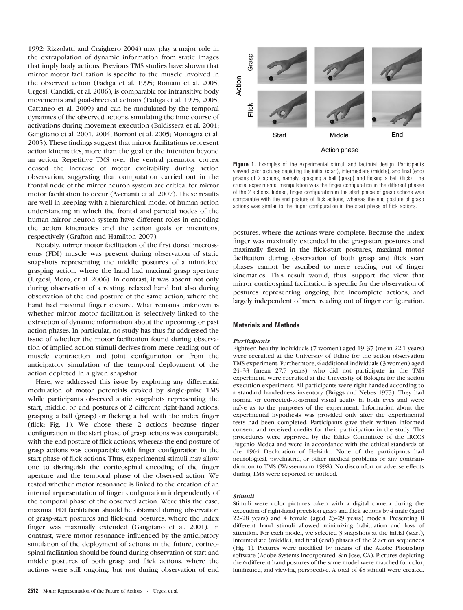1992; Rizzolatti and Craighero 2004) may play a major role in the extrapolation of dynamic information from static images that imply body actions. Previous TMS studies have shown that mirror motor facilitation is specific to the muscle involved in the observed action (Fadiga et al. 1995; Romani et al. 2005; Urgesi, Candidi, et al. 2006), is comparable for intransitive body movements and goal-directed actions (Fadiga et al. 1995, 2005; Cattaneo et al. 2009) and can be modulated by the temporal dynamics of the observed actions, simulating the time course of activations during movement execution (Baldissera et al. 2001; Gangitano et al. 2001, 2004; Borroni et al. 2005; Montagna et al. 2005). These findings suggest that mirror facilitations represent action kinematics, more than the goal or the intention beyond an action. Repetitive TMS over the ventral premotor cortex ceased the increase of motor excitability during action observation, suggesting that computation carried out in the frontal node of the mirror neuron system are critical for mirror motor facilitation to occur (Avenanti et al. 2007). These results are well in keeping with a hierarchical model of human action understanding in which the frontal and parietal nodes of the human mirror neuron system have different roles in encoding the action kinematics and the action goals or intentions, respectively (Grafton and Hamilton 2007).

Notably, mirror motor facilitation of the first dorsal interosseous (FDI) muscle was present during observation of static snapshots representing the middle postures of a mimicked grasping action, where the hand had maximal grasp aperture (Urgesi, Moro, et al. 2006). In contrast, it was absent not only during observation of a resting, relaxed hand but also during observation of the end posture of the same action, where the hand had maximal finger closure. What remains unknown is whether mirror motor facilitation is selectively linked to the extraction of dynamic information about the upcoming or past action phases. In particular, no study has thus far addressed the issue of whether the motor facilitation found during observation of implied action stimuli derives from mere reading out of muscle contraction and joint configuration or from the anticipatory simulation of the temporal deployment of the action depicted in a given snapshot.

Here, we addressed this issue by exploring any differential modulation of motor potentials evoked by single-pulse TMS while participants observed static snapshots representing the start, middle, or end postures of 2 different right-hand actions: grasping a ball (grasp) or flicking a ball with the index finger (flick; Fig. 1). We chose these 2 actions because finger configuration in the start phase of grasp actions was comparable with the end posture of flick actions, whereas the end posture of grasp actions was comparable with finger configuration in the start phase of flick actions. Thus, experimental stimuli may allow one to distinguish the corticospinal encoding of the finger aperture and the temporal phase of the observed action. We tested whether motor resonance is linked to the creation of an internal representation of finger configuration independently of the temporal phase of the observed action. Were this the case, maximal FDI facilitation should be obtained during observation of grasp-start postures and flick-end postures, where the index finger was maximally extended (Gangitano et al. 2001). In contrast, were motor resonance influenced by the anticipatory simulation of the deployment of actions in the future, corticospinal facilitation should be found during observation of start and middle postures of both grasp and flick actions, where the actions were still ongoing, but not during observation of end



Figure 1. Examples of the experimental stimuli and factorial design. Participants viewed color pictures depicting the initial (start), intermediate (middle), and final (end) phases of 2 actions, namely, grasping a ball (grasp) and flicking a ball (flick). The crucial experimental manipulation was the finger configuration in the different phases of the 2 actions. Indeed, finger configuration in the start phase of grasp actions was comparable with the end posture of flick actions, whereas the end posture of grasp actions was similar to the finger configuration in the start phase of flick actions.

postures, where the actions were complete. Because the index finger was maximally extended in the grasp-start postures and maximally flexed in the flick-start postures, maximal motor facilitation during observation of both grasp and flick start phases cannot be ascribed to mere reading out of finger kinematics. This result would, thus, support the view that mirror corticospinal facilitation is specific for the observation of postures representing ongoing, but incomplete actions, and largely independent of mere reading out of finger configuration.

# Materials and Methods

#### **Participants**

Eighteen healthy individuals (7 women) aged 19-37 (mean 22.1 years) were recruited at the University of Udine for the action observation TMS experiment. Furthermore, 6 additional individuals (3 women) aged 24-33 (mean 27.7 years), who did not participate in the TMS experiment, were recruited at the University of Bologna for the action execution experiment. All participants were right handed according to a standard handedness inventory (Briggs and Nebes 1975). They had normal or corrected-to-normal visual acuity in both eyes and were naïve as to the purposes of the experiment. Information about the experimental hypothesis was provided only after the experimental tests had been completed. Participants gave their written informed consent and received credits for their participation in the study. The procedures were approved by the Ethics Committee of the IRCCS Eugenio Medea and were in accordance with the ethical standards of the 1964 Declaration of Helsinki. None of the participants had neurological, psychiatric, or other medical problems or any contraindication to TMS (Wassermann 1998). No discomfort or adverse effects during TMS were reported or noticed.

#### Stimuli

Stimuli were color pictures taken with a digital camera during the execution of right-hand precision grasp and flick actions by 4 male (aged 22-28 years) and 4 female (aged 23-29 years) models. Presenting 8 different hand stimuli allowed minimizing habituation and loss of attention. For each model, we selected 3 snapshots at the initial (start), intermediate (middle), and final (end) phases of the 2 action sequences (Fig. 1). Pictures were modified by means of the Adobe Photoshop software (Adobe Systems Incorporated, San Jose, CA). Pictures depicting the 6 different hand postures of the same model were matched for color, luminance, and viewing perspective. A total of 48 stimuli were created.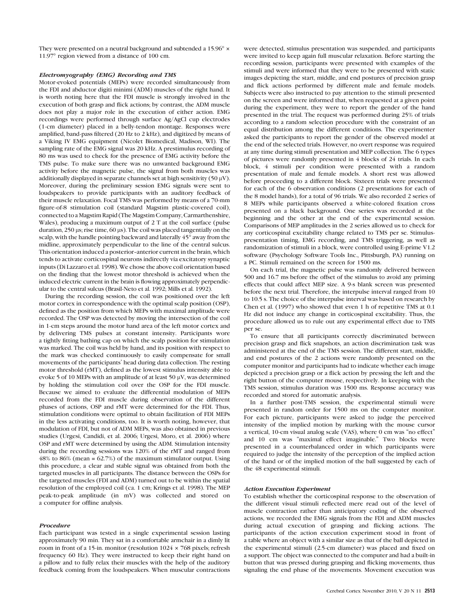They were presented on a neutral background and subtended a  $15.96^{\circ} \times$ 11.97° region viewed from a distance of 100 cm.

## Electromyography (EMG) Recording and TMS

Motor-evoked potentials (MEPs) were recorded simultaneously from the FDI and abductor digiti minimi (ADM) muscles of the right hand. It is worth noting here that the FDI muscle is strongly involved in the execution of both grasp and flick actions; by contrast, the ADM muscle does not play a major role in the execution of either action. EMG recordings were performed through surface Ag/AgCl cup electrodes (1-cm diameter) placed in a belly-tendon montage. Responses were amplified, band-pass filtered (20 Hz to 2 kHz), and digitized by means of a Viking IV EMG equipment (Nicolet Biomedical, Madison, WI). The sampling rate of the EMG signal was 20 kHz. A prestimulus recording of 80 ms was used to check for the presence of EMG activity before the TMS pulse. To make sure there was no unwanted background EMG activity before the magnetic pulse, the signal from both muscles was additionally displayed in separate channels set at high sensitivity  $(50 \mu V)$ . Moreover, during the preliminary session EMG signals were sent to loudspeakers to provide participants with an auditory feedback of their muscle relaxation. Focal TMS was performed by means of a 70-mm figure-of-8 stimulation coil (standard Magstim plastic-covered coil), connected to a Magstim Rapid (The Magstim Company, Carmarthenshire, Wales), producing a maximum output of 2 T at the coil surface (pulse duration,  $250 \,\mu s$ ; rise time,  $60 \,\mu s$ ). The coil was placed tangentially on the scalp, with the handle pointing backward and laterally 45° away from the midline, approximately perpendicular to the line of the central sulcus. This orientation induced a posterior-anterior current in the brain, which tends to activate corticospinal neurons indirectly via excitatory synaptic inputs (Di Lazzaro et al. 1998). We chose the above coil orientation based on the finding that the lowest motor threshold is achieved when the induced electric current in the brain is flowing approximately perpendicular to the central sulcus (Brasil-Neto et al. 1992; Mills et al. 1992).

During the recording session, the coil was positioned over the left motor cortex in correspondence with the optimal scalp position (OSP), defined as the position from which MEPs with maximal amplitude were recorded. The OSP was detected by moving the intersection of the coil in 1-cm steps around the motor hand area of the left motor cortex and by delivering TMS pulses at constant intensity. Participants wore a tightly fitting bathing cap on which the scalp position for stimulation was marked. The coil was held by hand, and its position with respect to the mark was checked continuously to easily compensate for small movements of the participants' head during data collection. The resting motor threshold (rMT), defined as the lowest stimulus intensity able to evoke 5 of 10 MEPs with an amplitude of at least 50  $\mu$ V, was determined by holding the stimulation coil over the OSP for the FDI muscle. Because we aimed to evaluate the differential modulation of MEPs recorded from the FDI muscle during observation of the different phases of actions, OSP and rMT were determined for the FDI. Thus, stimulation conditions were optimal to obtain facilitation of FDI MEPs in the less activating conditions, too. It is worth noting, however, that modulation of FDI, but not of ADM MEPs, was also obtained in previous studies (Urgesi, Candidi, et al. 2006; Urgesi, Moro, et al. 2006) where OSP and rMT were determined by using the ADM. Stimulation intensity during the recording sessions was 120% of the rMT and ranged from 48% to 86% (mean = 62.7%) of the maximum stimulator output. Using this procedure, a clear and stable signal was obtained from both the targeted muscles in all participants. The distance between the OSPs for the targeted muscles (FDI and ADM) turned out to be within the spatial resolution of the employed coil (ca. 1 cm; Krings et al. 1998). The MEP peak-to-peak amplitude (in mV) was collected and stored on a computer for offline analysis.

#### Procedure

Each participant was tested in a single experimental session lasting approximately 90 min. They sat in a comfortable armchair in a dimly lit room in front of a 15-in. monitor (resolution  $1024 \times 768$  pixels; refresh frequency 60 Hz). They were instructed to keep their right hand on a pillow and to fully relax their muscles with the help of the auditory feedback coming from the loudspeakers. When muscular contractions

were detected, stimulus presentation was suspended, and participants were invited to keep again full muscular relaxation. Before starting the recording session, participants were presented with examples of the stimuli and were informed that they were to be presented with static images depicting the start, middle, and end postures of precision grasp and flick actions performed by different male and female models. Subjects were also instructed to pay attention to the stimuli presented on the screen and were informed that, when requested at a given point during the experiment, they were to report the gender of the hand presented in the trial. The request was performed during 25% of trials according to a random selection procedure with the constraint of an equal distribution among the different conditions. The experimenter asked the participants to report the gender of the observed model at the end of the selected trials. However, no overt response was required at any time during stimuli presentation and MEP collection. The 6 types of pictures were randomly presented in 4 blocks of 24 trials. In each block, 4 stimuli per condition were presented with a random presentation of male and female models. A short rest was allowed before proceeding to a different block. Sixteen trials were presented for each of the 6 observation conditions (2 presentations for each of the 8 model hands), for a total of 96 trials. We also recorded 2 series of 8 MEPs while participants observed a white-colored fixation cross presented on a black background. One series was recorded at the beginning and the other at the end of the experimental session. Comparisons of MEP amplitudes in the 2 series allowed us to check for any corticospinal excitability change related to TMS per se. Stimuluspresentation timing, EMG recording, and TMS triggering, as well as randomization of stimuli in a block, were controlled using E-prime V1.2 software (Psychology Software Tools Inc., Pittsburgh, PA) running on a PC. Stimuli remained on the screen for 1500 ms.

On each trial, the magnetic pulse was randomly delivered between 500 and 16.7 ms before the offset of the stimulus to avoid any priming effects that could affect MEP size. A 9-s blank screen was presented before the next trial. Therefore, the interpulse interval ranged from 10 to 10.5 s. The choice of the interpulse interval was based on research by Chen et al. (1997) who showed that even 1 h of repetitive TMS at 0.1 Hz did not induce any change in corticospinal excitability. Thus, the procedure allowed us to rule out any experimental effect due to TMS per se.

To ensure that all participants correctly discriminated between precision grasp and flick snapshots, an action discrimination task was administered at the end of the TMS session. The different start, middle, and end postures of the 2 actions were randomly presented on the computer monitor and participants had to indicate whether each image depicted a precision grasp or a flick action by pressing the left and the right button of the computer mouse, respectively. In keeping with the TMS session, stimulus duration was 1500 ms. Response accuracy was recorded and stored for automatic analysis.

In a further post-TMS session, the experimental stimuli were presented in random order for 1500 ms on the computer monitor. For each picture, participants were asked to judge the perceived intensity of the implied motion by marking with the mouse cursor a vertical, 10-cm visual analog scale (VAS), where 0 cm was ''no effect'' and 10 cm was ''maximal effect imaginable.'' Two blocks were presented in a counterbalanced order in which participants were required to judge the intensity of the perception of the implied action of the hand or of the implied motion of the ball suggested by each of the 48 experimental stimuli.

#### Action Execution Experiment

To establish whether the corticospinal response to the observation of the different visual stimuli reflected mere read out of the level of muscle contraction rather than anticipatory coding of the observed actions, we recorded the EMG signals from the FDI and ADM muscles during actual execution of grasping and flicking actions. The participants of the action execution experiment stood in front of a table where an object with a similar size as that of the ball depicted in the experimental stimuli (2.5-cm diameter) was placed and fixed on a support. The object was connected to the computer and had a built-in button that was pressed during grasping and flicking movements, thus signaling the end phase of the movements. Movement execution was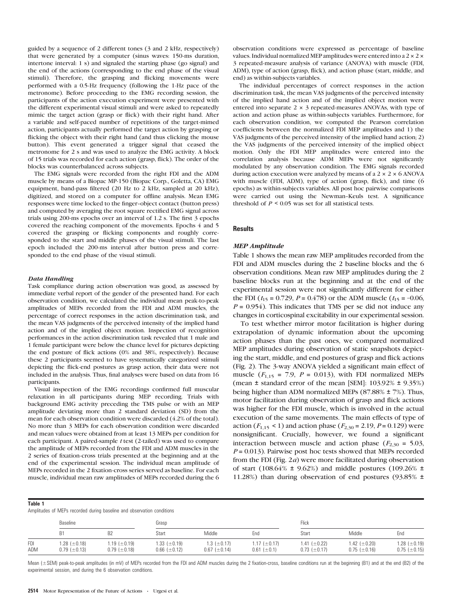guided by a sequence of 2 different tones (3 and 2 kHz, respectively) that were generated by a computer (sinus waves: 150-ms duration, intertone interval: 1 s) and signaled the starting phase (go signal) and the end of the actions (corresponding to the end phase of the visual stimuli). Therefore, the grasping and flicking movements were performed with a 0.5-Hz frequency (following the 1-Hz pace of the metronome). Before proceeding to the EMG recording session, the participants of the action execution experiment were presented with the different experimental visual stimuli and were asked to repeatedly mimic the target action (grasp or flick) with their right hand. After a variable and self-paced number of repetitions of the target-mimed action, participants actually performed the target action by grasping or flicking the object with their right hand (and thus clicking the mouse button). This event generated a trigger signal that ceased the metronome for 2 s and was used to analyze the EMG activity. A block of 15 trials was recorded for each action (grasp, flick). The order of the blocks was counterbalanced across subjects.

The EMG signals were recorded from the right FDI and the ADM muscle by means of a Biopac MP-150 (Biopac Corp., Goletta, CA) EMG equipment, band-pass filtered (20 Hz to 2 kHz, sampled at 20 kHz), digitized, and stored on a computer for offline analysis. Mean EMG responses were time locked to the finger-object contact (button press) and computed by averaging the root square rectified EMG signal across trials using 200-ms epochs over an interval of 1.2 s. The first 3 epochs covered the reaching component of the movements. Epochs 4 and 5 covered the grasping or flicking components and roughly corresponded to the start and middle phases of the visual stimuli. The last epoch included the 200-ms interval after button press and corresponded to the end phase of the visual stimuli.

#### Data Handling

Task compliance during action observation was good, as assessed by immediate verbal report of the gender of the presented hand. For each observation condition, we calculated the individual mean peak-to-peak amplitudes of MEPs recorded from the FDI and ADM muscles, the percentage of correct responses in the action discrimination task, and the mean VAS judgments of the perceived intensity of the implied hand action and of the implied object motion. Inspection of recognition performances in the action discrimination task revealed that 1 male and 1 female participant were below the chance level for pictures depicting the end posture of flick actions (0% and 38%, respectively). Because these 2 participants seemed to have systematically categorized stimuli depicting the flick-end postures as grasp action, their data were not included in the analysis. Thus, final analyses were based on data from 16 participants.

Visual inspection of the EMG recordings confirmed full muscular relaxation in all participants during MEP recording. Trials with background EMG activity preceding the TMS pulse or with an MEP amplitude deviating more than 2 standard deviation (SD) from the mean for each observation condition were discarded (4.2% of the total). No more than 3 MEPs for each observation condition were discarded and mean values were obtained from at least 13 MEPs per condition for each participant. A paired-sample t test (2-tailed) was used to compare the amplitude of MEPs recorded from the FDI and ADM muscles in the 2 series of fixation-cross trials presented at the beginning and at the end of the experimental session. The individual mean amplitude of MEPs recorded in the 2 fixation-cross series served as baseline. For each muscle, individual mean raw amplitudes of MEPs recorded during the 6 observation conditions were expressed as percentage of baseline values. Individual normalized MEP amplitudes were entered into a  $2 \times 2 \times$ 3 repeated-measure analysis of variance (ANOVA) with muscle (FDI, ADM), type of action (grasp, flick), and action phase (start, middle, and end) as within-subjects variables.

The individual percentages of correct responses in the action discrimination task, the mean VAS judgments of the perceived intensity of the implied hand action and of the implied object motion were entered into separate  $2 \times 3$  repeated-measures ANOVAs, with type of action and action phase as within-subjects variables. Furthermore, for each observation condition, we computed the Pearson correlation coefficients between the normalized FDI MEP amplitudes and 1) the VAS judgments of the perceived intensity of the implied hand action; 2) the VAS judgments of the perceived intensity of the implied object motion. Only the FDI MEP amplitudes were entered into the correlation analysis because ADM MEPs were not significantly modulated by any observation condition. The EMG signals recorded during action execution were analyzed by means of a  $2 \times 2 \times 6$  ANOVA with muscle (FDI, ADM), type of action (grasp, flick), and time (6 epochs) as within-subjects variables. All post hoc pairwise comparisons were carried out using the Newman--Keuls test. A significance threshold of  $P < 0.05$  was set for all statistical tests.

#### **Results**

# MEP Amplitude

Table 1 shows the mean raw MEP amplitudes recorded from the FDI and ADM muscles during the 2 baseline blocks and the 6 observation conditions. Mean raw MEP amplitudes during the 2 baseline blocks run at the beginning and at the end of the experimental session were not significantly different for either the FDI ( $t_{15}$  = 0.729,  $P = 0.478$ ) or the ADM muscle ( $t_{15} = -0.06$ ,  $P = 0.954$ ). This indicates that TMS per se did not induce any changes in corticospinal excitability in our experimental session.

To test whether mirror motor facilitation is higher during extrapolation of dynamic information about the upcoming action phases than the past ones, we compared normalized MEP amplitudes during observation of static snapshots depicting the start, middle, and end postures of grasp and flick actions (Fig. 2). The 3-way ANOVA yielded a significant main effect of muscle  $(F_{1,15} = 7.9, P = 0.013)$ , with FDI normalized MEPs (mean ± standard error of the mean [SEM]: 103.92% ± 9.35%) being higher than ADM normalized MEPs (87.88% ± 7%). Thus, motor facilitation during observation of grasp and flick actions was higher for the FDI muscle, which is involved in the actual execution of the same movements. The main effects of type of action ( $F_{1,15}$  < 1) and action phase ( $F_{2,30}$  = 2.19,  $P$  = 0.129) were nonsignificant. Crucially, however, we found a significant interaction between muscle and action phase  $(F_{2,30} = 5.03,$  $P = 0.013$ ). Pairwise post hoc tests showed that MEPs recorded from the FDI (Fig. 2a) were more facilitated during observation of start (108.64%  $\pm$  9.62%) and middle postures (109.26%  $\pm$ 11.28%) than during observation of end postures (93.85% ±

Amplitudes of MEPs recorded during baseline and observation conditions

|                   | Baseline                               |                                          | Grasp                                  |                                       |                                            |                                         | Flick                                      |                                           |  |
|-------------------|----------------------------------------|------------------------------------------|----------------------------------------|---------------------------------------|--------------------------------------------|-----------------------------------------|--------------------------------------------|-------------------------------------------|--|
|                   | <b>B1</b>                              | B2                                       | Start                                  | Middle                                | End                                        | Start                                   | Middle                                     | End                                       |  |
| <b>FDI</b><br>ADM | .28 ( $\pm$ 0.18)<br>$0.79~(\pm 0.13)$ | $.19$ ( $\pm$ 0.19)<br>$0.79~(\pm 0.18)$ | 1.33 $(\pm 0.19)$<br>$0.66~(\pm 0.12)$ | 1.3 $(\pm 0.17)$<br>$0.67~(\pm 0.14)$ | $1.17 \ (\pm 0.17)$<br>$0.61$ ( $\pm$ 0.1) | 1.41 ( $\pm$ 0.22)<br>$0.73~(\pm 0.17)$ | 1.42 ( $\pm$ 0.20)<br>$0.75$ ( $\pm$ 0.16) | 1.28 $(\pm 0.19)$<br>$0.75$ ( $\pm$ 0.15) |  |

Mean (±SEM) peak-to-peak amplitudes (in mV) of MEPs recorded from the FDI and ADM muscles during the 2 fixation-cross, baseline conditions run at the beginning (B1) and at the end (B2) of the experimental session, and during the 6 observation conditions.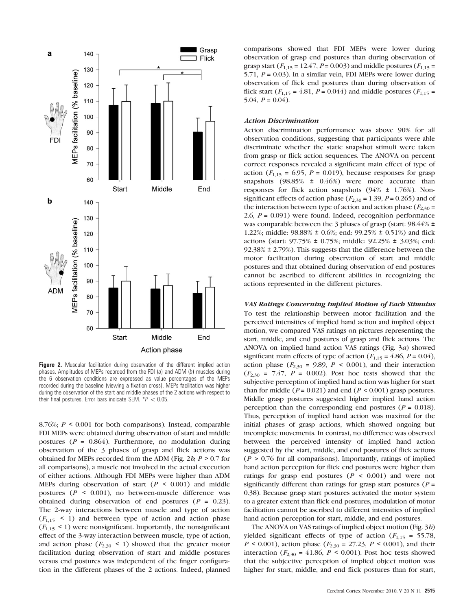

Figure 2. Muscular facilitation during observation of the different implied action phases. Amplitudes of MEPs recorded from the FDI (a) and ADM (b) muscles during the 6 observation conditions are expressed as value percentages of the MEPs recorded during the baseline (viewing a fixation cross). MEPs facilitation was higher during the observation of the start and middle phases of the 2 actions with respect to their final postures. Error bars indicate SEM.  $*P < 0.05$ .

8.76%;  $P < 0.001$  for both comparisons). Instead, comparable FDI MEPs were obtained during observation of start and middle postures ( $P = 0.864$ ). Furthermore, no modulation during observation of the 3 phases of grasp and flick actions was obtained for MEPs recorded from the ADM (Fig.  $2b$ ;  $P > 0.7$  for all comparisons), a muscle not involved in the actual execution of either actions. Although FDI MEPs were higher than ADM MEPs during observation of start  $(P < 0.001)$  and middle postures ( $P \le 0.001$ ), no between-muscle difference was obtained during observation of end postures ( $P = 0.23$ ). The 2-way interactions between muscle and type of action  $(F_{1,15} \leq 1)$  and between type of action and action phase  $(F_{1,15} \leq 1)$  were nonsignificant. Importantly, the nonsignificant effect of the 3-way interaction between muscle, type of action, and action phase  $(F_{2,30} \leq 1)$  showed that the greater motor facilitation during observation of start and middle postures versus end postures was independent of the finger configuration in the different phases of the 2 actions. Indeed, planned comparisons showed that FDI MEPs were lower during observation of grasp end postures than during observation of grasp start ( $F_{1,15}$  = 12.47,  $P = 0.003$ ) and middle postures ( $F_{1,15}$  = 5.71,  $P = 0.03$ ). In a similar vein, FDI MEPs were lower during observation of flick end postures than during observation of flick start ( $F_{1,15} = 4.81$ ,  $P = 0.044$ ) and middle postures ( $F_{1,15} =$ 5.04,  $P = 0.04$ ).

# Action Discrimination

Action discrimination performance was above 90% for all observation conditions, suggesting that participants were able discriminate whether the static snapshot stimuli were taken from grasp or flick action sequences. The ANOVA on percent correct responses revealed a significant main effect of type of action ( $F_{1,15} = 6.95$ ,  $P = 0.019$ ), because responses for grasp snapshots (98.85% ± 0.46%) were more accurate than responses for flick action snapshots (94% ± 1.76%). Nonsignificant effects of action phase ( $F_{2,30}$  = 1.39,  $P = 0.265$ ) and of the interaction between type of action and action phase  $(F_{2,30} =$ 2.6,  $P = 0.091$ ) were found. Indeed, recognition performance was comparable between the 3 phases of grasp (start: 98.44% ± 1.22%; middle: 98.88% ± 0.6%; end: 99.25% ± 0.51%) and flick actions (start: 97.75% ± 0.75%; middle: 92.25% ± 3.03%; end: 92.38% ± 2.79%). This suggests that the difference between the motor facilitation during observation of start and middle postures and that obtained during observation of end postures cannot be ascribed to different abilities in recognizing the actions represented in the different pictures.

## VAS Ratings Concerning Implied Motion of Each Stimulus

To test the relationship between motor facilitation and the perceived intensities of implied hand action and implied object motion, we compared VAS ratings on pictures representing the start, middle, and end postures of grasp and flick actions. The ANOVA on implied hand action VAS ratings (Fig. 3a) showed significant main effects of type of action ( $F_{1,15} = 4.86$ ,  $P = 0.04$ ), action phase ( $F_{2,30}$  = 9.89,  $P \le 0.001$ ), and their interaction  $(F_{2,30} = 7.47, P = 0.002)$ . Post hoc tests showed that the subjective perception of implied hand action was higher for start than for middle ( $P = 0.021$ ) and end ( $P < 0.001$ ) grasp postures. Middle grasp postures suggested higher implied hand action perception than the corresponding end postures ( $P = 0.018$ ). Thus, perception of implied hand action was maximal for the initial phases of grasp actions, which showed ongoing but incomplete movements. In contrast, no difference was observed between the perceived intensity of implied hand action suggested by the start, middle, and end postures of flick actions  $(P > 0.76$  for all comparisons). Importantly, ratings of implied hand action perception for flick end postures were higher than ratings for grasp end postures ( $P < 0.001$ ) and were not significantly different than ratings for grasp start postures ( $P =$ 0.38). Because grasp start postures activated the motor system to a greater extent than flick end postures, modulation of motor facilitation cannot be ascribed to different intensities of implied hand action perception for start, middle, and end postures.

The ANOVA on VAS ratings of implied object motion (Fig. 3b) yielded significant effects of type of action  $(F_{1,15} = 55.78)$ ,  $P < 0.001$ ), action phase ( $F_{2,30} = 27.23$ ,  $P < 0.001$ ), and their interaction ( $F_{2,30}$  = 41.86,  $P < 0.001$ ). Post hoc tests showed that the subjective perception of implied object motion was higher for start, middle, and end flick postures than for start,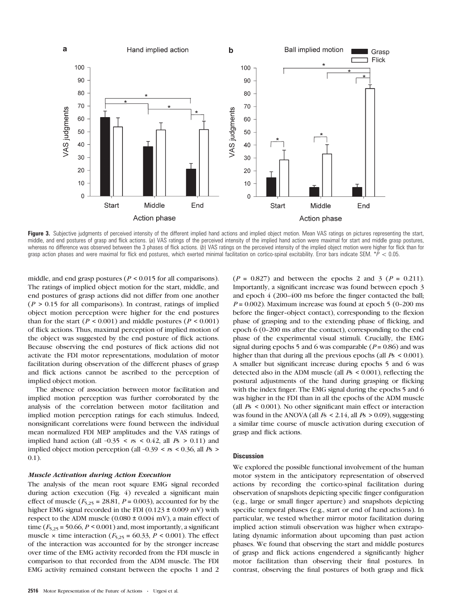

Figure 3. Subjective judgments of perceived intensity of the different implied hand actions and implied object motion. Mean VAS ratings on pictures representing the start, middle, and end postures of grasp and flick actions. (a) VAS ratings of the perceived intensity of the implied hand action were maximal for start and middle grasp postures, whereas no difference was observed between the 3 phases of flick actions. (b) VAS ratings on the perceived intensity of the implied object motion were higher for flick than for grasp action phases and were maximal for flick end postures, which exerted minimal facilitation on cortico-spinal excitability. Error bars indicate SEM.  $*\tilde{P} < 0.05$ .

middle, and end grasp postures ( $P \le 0.015$  for all comparisons). The ratings of implied object motion for the start, middle, and end postures of grasp actions did not differ from one another  $(P > 0.15$  for all comparisons). In contrast, ratings of implied object motion perception were higher for the end postures than for the start ( $P < 0.001$ ) and middle postures ( $P < 0.001$ ) of flick actions. Thus, maximal perception of implied motion of the object was suggested by the end posture of flick actions. Because observing the end postures of flick actions did not activate the FDI motor representations, modulation of motor facilitation during observation of the different phases of grasp and flick actions cannot be ascribed to the perception of implied object motion.

The absence of association between motor facilitation and implied motion perception was further corroborated by the analysis of the correlation between motor facilitation and implied motion perception ratings for each stimulus. Indeed, nonsignificant correlations were found between the individual mean normalized FDI MEP amplitudes and the VAS ratings of implied hand action (all  $-0.35 < r_s < 0.42$ , all  $Ps > 0.11$ ) and implied object motion perception (all  $-0.39 < r_s < 0.36$ , all  $Ps >$ 0.1).

#### Muscle Activation during Action Execution

The analysis of the mean root square EMG signal recorded during action execution (Fig. 4) revealed a significant main effect of muscle  $(F_{5,25} = 28.81, P = 0.003)$ , accounted for by the higher EMG signal recorded in the FDI (0.123  $\pm$  0.009 mV) with respect to the ADM muscle  $(0.080 \pm 0.004 \text{ mV})$ , a main effect of time ( $F_{5,25}$  = 50.66,  $P < 0.001$ ) and, most importantly, a significant muscle  $\times$  time interaction ( $F_{5,25} = 60.33$ ,  $P \le 0.001$ ). The effect of the interaction was accounted for by the stronger increase over time of the EMG activity recorded from the FDI muscle in comparison to that recorded from the ADM muscle. The FDI EMG activity remained constant between the epochs 1 and 2

 $(P = 0.827)$  and between the epochs 2 and 3  $(P = 0.211)$ . Importantly, a significant increase was found between epoch 3 and epoch  $4(200-400 \text{ ms})$  before the finger contacted the ball;  $P = 0.002$ ). Maximum increase was found at epoch 5 (0-200 ms before the finger-object contact), corresponding to the flexion phase of grasping and to the extending phase of flicking, and epoch 6 (0-200 ms after the contact), corresponding to the end phase of the experimental visual stimuli. Crucially, the EMG signal during epochs 5 and 6 was comparable ( $P = 0.86$ ) and was higher than that during all the previous epochs (all  $P_s \le 0.001$ ). A smaller but significant increase during epochs 5 and 6 was detected also in the ADM muscle (all  $Ps < 0.001$ ), reflecting the postural adjustments of the hand during grasping or flicking with the index finger. The EMG signal during the epochs 5 and 6 was higher in the FDI than in all the epochs of the ADM muscle (all  $Ps < 0.001$ ). No other significant main effect or interaction was found in the ANOVA (all  $F<sub>5</sub> < 2.14$ , all  $P<sub>5</sub> > 0.09$ ), suggesting a similar time course of muscle activation during execution of grasp and flick actions.

## **Discussion**

We explored the possible functional involvement of the human motor system in the anticipatory representation of observed actions by recording the cortico-spinal facilitation during observation of snapshots depicting specific finger configuration (e.g., large or small finger aperture) and snapshots depicting specific temporal phases (e.g., start or end of hand actions). In particular, we tested whether mirror motor facilitation during implied action stimuli observation was higher when extrapolating dynamic information about upcoming than past action phases. We found that observing the start and middle postures of grasp and flick actions engendered a significantly higher motor facilitation than observing their final postures. In contrast, observing the final postures of both grasp and flick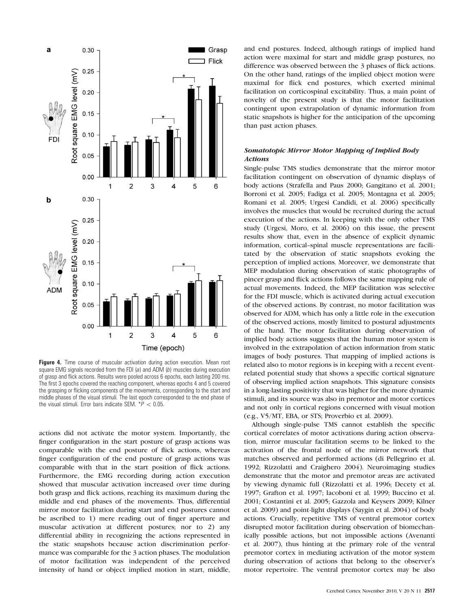

Figure 4. Time course of muscular activation during action execution. Mean root square EMG signals recorded from the FDI (a) and ADM (b) muscles during execution of grasp and flick actions. Results were pooled across 6 epochs, each lasting 200 ms. The first 3 epochs covered the reaching component, whereas epochs 4 and 5 covered the grasping or flicking components of the movements, corresponding to the start and middle phases of the visual stimuli. The last epoch corresponded to the end phase of the visual stimuli. Error bars indicate SEM.  $*P < 0.05$ .

actions did not activate the motor system. Importantly, the finger configuration in the start posture of grasp actions was comparable with the end posture of flick actions, whereas finger configuration of the end posture of grasp actions was comparable with that in the start position of flick actions. Furthermore, the EMG recording during action execution showed that muscular activation increased over time during both grasp and flick actions, reaching its maximum during the middle and end phases of the movements. Thus, differential mirror motor facilitation during start and end postures cannot be ascribed to 1) mere reading out of finger aperture and muscular activation at different postures; nor to 2) any differential ability in recognizing the actions represented in the static snapshots because action discrimination performance was comparable for the 3 action phases. The modulation of motor facilitation was independent of the perceived intensity of hand or object implied motion in start, middle,

and end postures. Indeed, although ratings of implied hand action were maximal for start and middle grasp postures, no difference was observed between the 3 phases of flick actions. On the other hand, ratings of the implied object motion were maximal for flick end postures, which exerted minimal facilitation on corticospinal excitability. Thus, a main point of novelty of the present study is that the motor facilitation contingent upon extrapolation of dynamic information from static snapshots is higher for the anticipation of the upcoming than past action phases.

#### Somatotopic Mirror Motor Mapping of Implied Body Actions

Single-pulse TMS studies demonstrate that the mirror motor facilitation contingent on observation of dynamic displays of body actions (Strafella and Paus 2000; Gangitano et al. 2001; Borroni et al. 2005; Fadiga et al. 2005; Montagna et al. 2005; Romani et al. 2005; Urgesi Candidi, et al. 2006) specifically involves the muscles that would be recruited during the actual execution of the actions. In keeping with the only other TMS study (Urgesi, Moro, et al. 2006) on this issue, the present results show that, even in the absence of explicit dynamic information, cortical--spinal muscle representations are facilitated by the observation of static snapshots evoking the perception of implied actions. Moreover, we demonstrate that MEP modulation during observation of static photographs of pincer grasp and flick actions follows the same mapping rule of actual movements. Indeed, the MEP facilitation was selective for the FDI muscle, which is activated during actual execution of the observed actions. By contrast, no motor facilitation was observed for ADM, which has only a little role in the execution of the observed actions, mostly limited to postural adjustments of the hand. The motor facilitation during observation of implied body actions suggests that the human motor system is involved in the extrapolation of action information from static images of body postures. That mapping of implied actions is related also to motor regions is in keeping with a recent eventrelated potential study that shows a specific cortical signature of observing implied action snapshots. This signature consists in a long-lasting positivity that was higher for the more dynamic stimuli, and its source was also in premotor and motor cortices and not only in cortical regions concerned with visual motion (e.g., V5/MT, EBA, or STS; Proverbio et al. 2009).

Although single-pulse TMS cannot establish the specific cortical correlates of motor activations during action observation, mirror muscular facilitation seems to be linked to the activation of the frontal node of the mirror network that matches observed and performed actions (di Pellegrino et al. 1992; Rizzolatti and Craighero 2004). Neuroimaging studies demonstrate that the motor and premotor areas are activated by viewing dynamic full (Rizzolatti et al. 1996; Decety et al. 1997; Grafton et al. 1997; Iacoboni et al. 1999; Buccino et al. 2001; Costantini et al. 2005; Gazzola and Keysers 2009; Kilner et al. 2009) and point-light displays (Saygin et al. 2004) of body actions. Crucially, repetitive TMS of ventral premotor cortex disrupted motor facilitation during observation of biomechanically possible actions, but not impossible actions (Avenanti et al. 2007), thus hinting at the primary role of the ventral premotor cortex in mediating activation of the motor system during observation of actions that belong to the observer's motor repertoire. The ventral premotor cortex may be also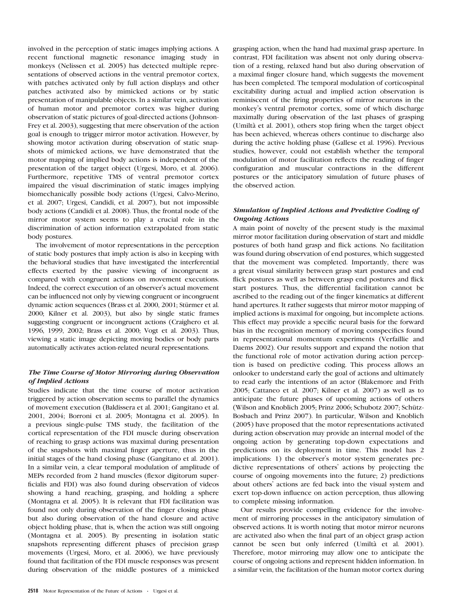involved in the perception of static images implying actions. A recent functional magnetic resonance imaging study in monkeys (Nelissen et al. 2005) has detected multiple representations of observed actions in the ventral premotor cortex, with patches activated only by full action displays and other patches activated also by mimicked actions or by static presentation of manipulable objects. In a similar vein, activation of human motor and premotor cortex was higher during observation of static pictures of goal-directed actions (Johnson-Frey et al. 2003), suggesting that mere observation of the action goal is enough to trigger mirror motor activation. However, by showing motor activation during observation of static snapshots of mimicked actions, we have demonstrated that the motor mapping of implied body actions is independent of the presentation of the target object (Urgesi, Moro, et al. 2006). Furthermore, repetitive TMS of ventral premotor cortex impaired the visual discrimination of static images implying biomechanically possible body actions (Urgesi, Calvo-Merino, et al. 2007; Urgesi, Candidi, et al. 2007), but not impossible body actions (Candidi et al. 2008). Thus, the frontal node of the mirror motor system seems to play a crucial role in the discrimination of action information extrapolated from static body postures.

The involvement of motor representations in the perception of static body postures that imply action is also in keeping with the behavioral studies that have investigated the interferential effects exerted by the passive viewing of incongruent as compared with congruent actions on movement executions. Indeed, the correct execution of an observer's actual movement can be influenced not only by viewing congruent or incongruent dynamic action sequences (Brass et al. 2000, 2001; Stürmer et al. 2000; Kilner et al. 2003), but also by single static frames suggesting congruent or incongruent actions (Craighero et al. 1996, 1999, 2002; Brass et al. 2000; Vogt et al. 2003). Thus, viewing a static image depicting moving bodies or body parts automatically activates action-related neural representations.

# The Time Course of Motor Mirroring during Observation of Implied Actions

Studies indicate that the time course of motor activation triggered by action observation seems to parallel the dynamics of movement execution (Baldissera et al. 2001; Gangitano et al. 2001, 2004; Borroni et al. 2005; Montagna et al. 2005). In a previous single-pulse TMS study, the facilitation of the cortical representation of the FDI muscle during observation of reaching to grasp actions was maximal during presentation of the snapshots with maximal finger aperture, thus in the initial stages of the hand closing phase (Gangitano et al. 2001). In a similar vein, a clear temporal modulation of amplitude of MEPs recorded from 2 hand muscles (flexor digitorum superficialis and FDI) was also found during observation of videos showing a hand reaching, grasping, and holding a sphere (Montagna et al. 2005). It is relevant that FDI facilitation was found not only during observation of the finger closing phase but also during observation of the hand closure and active object holding phase, that is, when the action was still ongoing (Montagna et al. 2005). By presenting in isolation static snapshots representing different phases of precision grasp movements (Urgesi, Moro, et al. 2006), we have previously found that facilitation of the FDI muscle responses was present during observation of the middle postures of a mimicked grasping action, when the hand had maximal grasp aperture. In contrast, FDI facilitation was absent not only during observation of a resting, relaxed hand but also during observation of a maximal finger closure hand, which suggests the movement has been completed. The temporal modulation of corticospinal excitability during actual and implied action observation is reminiscent of the firing properties of mirror neurons in the monkey's ventral premotor cortex, some of which discharge maximally during observation of the last phases of grasping (Umilta` et al. 2001), others stop firing when the target object has been achieved, whereas others continue to discharge also during the active holding phase (Gallese et al. 1996). Previous studies, however, could not establish whether the temporal modulation of motor facilitation reflects the reading of finger configuration and muscular contractions in the different postures or the anticipatory simulation of future phases of the observed action.

# Simulation of Implied Actions and Predictive Coding of Ongoing Actions

A main point of novelty of the present study is the maximal mirror motor facilitation during observation of start and middle postures of both hand grasp and flick actions. No facilitation was found during observation of end postures, which suggested that the movement was completed. Importantly, there was a great visual similarity between grasp start postures and end flick postures as well as between grasp end postures and flick start postures. Thus, the differential facilitation cannot be ascribed to the reading out of the finger kinematics at different hand apertures. It rather suggests that mirror motor mapping of implied actions is maximal for ongoing, but incomplete actions. This effect may provide a specific neural basis for the forward bias in the recognition memory of moving conspecifics found in representational momentum experiments (Verfaillie and Daems 2002). Our results support and expand the notion that the functional role of motor activation during action perception is based on predictive coding. This process allows an onlooker to understand early the goal of actions and ultimately to read early the intentions of an actor (Blakemore and Frith 2005; Cattaneo et al. 2007; Kilner et al. 2007) as well as to anticipate the future phases of upcoming actions of others (Wilson and Knoblich 2005; Prinz 2006; Schubotz 2007; Schütz-Bosbach and Prinz 2007). In particular, Wilson and Knoblich (2005) have proposed that the motor representations activated during action observation may provide an internal model of the ongoing action by generating top-down expectations and predictions on its deployment in time. This model has 2 implications: 1) the observer's motor system generates predictive representations of others' actions by projecting the course of ongoing movements into the future; 2) predictions about others' actions are fed back into the visual system and exert top-down influence on action perception, thus allowing to complete missing information.

Our results provide compelling evidence for the involvement of mirroring processes in the anticipatory simulation of observed actions. It is worth noting that motor mirror neurons are activated also when the final part of an object grasp action cannot be seen but only inferred (Umiltà et al. 2001). Therefore, motor mirroring may allow one to anticipate the course of ongoing actions and represent hidden information. In a similar vein, the facilitation of the human motor cortex during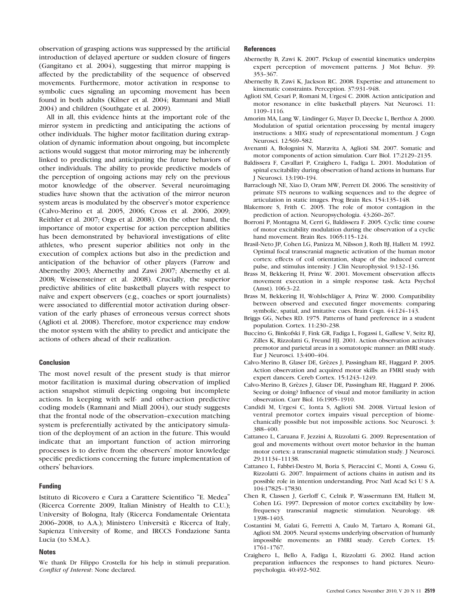observation of grasping actions was suppressed by the artificial introduction of delayed aperture or sudden closure of fingers (Gangitano et al. 2004), suggesting that mirror mapping is affected by the predictability of the sequence of observed movements. Furthermore, motor activation in response to symbolic cues signaling an upcoming movement has been found in both adults (Kilner et al. 2004; Ramnani and Miall 2004) and children (Southgate et al. 2009).

All in all, this evidence hints at the important role of the mirror system in predicting and anticipating the actions of other individuals. The higher motor facilitation during extrapolation of dynamic information about ongoing, but incomplete actions would suggest that motor mirroring may be inherently linked to predicting and anticipating the future behaviors of other individuals. The ability to provide predictive models of the perception of ongoing actions may rely on the previous motor knowledge of the observer. Several neuroimaging studies have shown that the activation of the mirror neuron system areas is modulated by the observer's motor experience (Calvo-Merino et al. 2005, 2006; Cross et al. 2006, 2009; Reithler et al. 2007; Orgs et al. 2008). On the other hand, the importance of motor expertise for action perception abilities has been demonstrated by behavioral investigations of elite athletes, who present superior abilities not only in the execution of complex actions but also in the prediction and anticipation of the behavior of other players (Farrow and Abernethy 2003; Abernethy and Zawi 2007; Abernethy et al. 2008; Weissensteiner et al. 2008). Crucially, the superior predictive abilities of elite basketball players with respect to naïve and expert observers (e.g., coaches or sport journalists) were associated to differential motor activation during observation of the early phases of erroneous versus correct shots (Aglioti et al. 2008). Therefore, motor experience may endow the motor system with the ability to predict and anticipate the actions of others ahead of their realization.

# Conclusion

The most novel result of the present study is that mirror motor facilitation is maximal during observation of implied action snapshot stimuli depicting ongoing but incomplete actions. In keeping with self- and other-action predictive coding models (Ramnani and Miall 2004), our study suggests that the frontal node of the observation--execution matching system is preferentially activated by the anticipatory simulation of the deployment of an action in the future. This would indicate that an important function of action mirroring processes is to derive from the observers' motor knowledge specific predictions concerning the future implementation of others' behaviors.

#### Funding

Istituto di Ricovero e Cura a Carattere Scientifico ''E. Medea'' (Ricerca Corrente 2009, Italian Ministry of Health to C.U.); University of Bologna, Italy (Ricerca Fondamentale Orientata 2006-2008, to A.A.); Ministero Università e Ricerca of Italy, Sapienza University of Rome, and IRCCS Fondazione Santa Lucia (to S.M.A.).

## **Notes**

We thank Dr Filippo Crostella for his help in stimuli preparation. Conflict of Interest: None declared.

#### **References**

- Abernethy B, Zawi K. 2007. Pickup of essential kinematics underpins expert perception of movement patterns. J Mot Behav. 39: 353--367.
- Abernethy B, Zawi K, Jackson RC. 2008. Expertise and attunement to kinematic constraints. Perception. 37:931-948.
- Aglioti SM, Cesari P, Romani M, Urgesi C. 2008. Action anticipation and motor resonance in elite basketball players. Nat Neurosci. 11: 1109-1116.
- Amorim MA, Lang W, Lindinger G, Mayer D, Deecke L, Berthoz A. 2000. Modulation of spatial orientation processing by mental imagery instructions: a MEG study of representational momentum. J Cogn Neurosci. 12:569-582.
- Avenanti A, Bolognini N, Maravita A, Aglioti SM. 2007. Somatic and motor components of action simulation. Curr Biol. 17:2129-2135.
- Baldissera F, Cavallari P, Craighero L, Fadiga L. 2001. Modulation of spinal excitability during observation of hand actions in humans. Eur J Neurosci. 13:190--194.
- Barraclough NE, Xiao D, Oram MW, Perrett DI. 2006. The sensitivity of primate STS neurons to walking sequences and to the degree of articulation in static images. Prog Brain Res. 154:135-148.
- Blakemore S, Frith C. 2005. The role of motor contagion in the prediction of action. Neuropsychologia. 43:260-267.
- Borroni P, Montagna M, Cerri G, Baldissera F. 2005. Cyclic time course of motor excitability modulation during the observation of a cyclic hand movement. Brain Res. 1065:115-124.
- Brasil-Neto JP, Cohen LG, Panizza M, Nilsson J, Roth BJ, Hallett M. 1992. Optimal focal transcranial magnetic activation of the human motor cortex: effects of coil orientation, shape of the induced current pulse, and stimulus intensity. J Clin Neurophysiol. 9:132-136.
- Brass M, Bekkering H, Prinz W. 2001. Movement observation affects movement execution in a simple response task. Acta Psychol (Amst). 106:3-22.
- Brass M, Bekkering H, Wohlschläger A, Prinz W. 2000. Compatibility between observed and executed finger movements: comparing symbolic, spatial, and imitative cues. Brain Cogn. 44:124-143.
- Briggs GG, Nebes RD. 1975. Patterns of hand preference in a student population. Cortex. 11:230-238.
- Buccino G, Binkofski F, Fink GR, Fadiga L, Fogassi L, Gallese V, Seitz RJ, Zilles K, Rizzolatti G, Freund HJ. 2001. Action observation activates premotor and parietal areas in a somatotopic manner: an fMRI study. Eur J Neurosci. 13:400-404.
- Calvo-Merino B, Glaser DE, Grèzes J, Passingham RE, Haggard P. 2005. Action observation and acquired motor skills: an FMRI study with expert dancers. Cereb Cortex. 15:1243-1249.
- Calvo-Merino B, Grèzes J, Glaser DE, Passingham RE, Haggard P. 2006. Seeing or doing? Influence of visual and motor familiarity in action observation. Curr Biol. 16:1905--1910.
- Candidi M, Urgesi C, Ionta S, Aglioti SM. 2008. Virtual lesion of ventral premotor cortex impairs visual perception of biomechanically possible but not impossible actions. Soc Neurosci. 3: 388--400.
- Cattaneo L, Caruana F, Jezzini A, Rizzolatti G. 2009. Representation of goal and movements without overt motor behavior in the human motor cortex: a transcranial magnetic stimulation study. J Neurosci. 29:11134--11138.
- Cattaneo L, Fabbri-Destro M, Boria S, Pieraccini C, Monti A, Cossu G, Rizzolatti G. 2007. Impairment of actions chains in autism and its possible role in intention understanding. Proc Natl Acad Sci U S A. 104:17825--17830.
- Chen R, Classen J, Gerloff C, Celnik P, Wassermann EM, Hallett M, Cohen LG. 1997. Depression of motor cortex excitability by lowfrequency transcranial magnetic stimulation. Neurology. 48: 1398-1403.
- Costantini M, Galati G, Ferretti A, Caulo M, Tartaro A, Romani GL, Aglioti SM. 2005. Neural systems underlying observation of humanly impossible movements: an FMRI study. Cereb Cortex. 15: 1761--1767.
- Craighero L, Bello A, Fadiga L, Rizzolatti G. 2002. Hand action preparation influences the responses to hand pictures. Neuropsychologia. 40:492-502.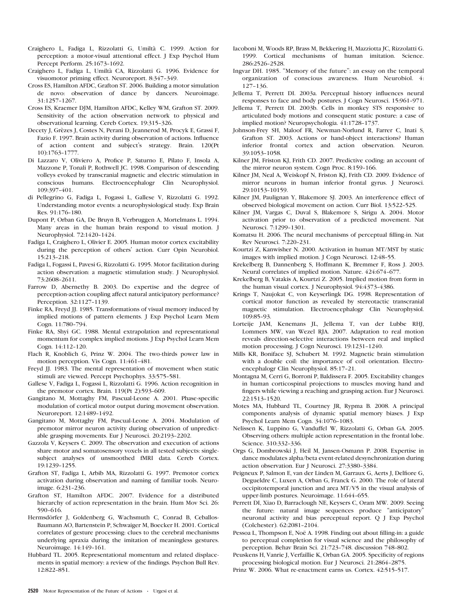- Craighero L, Fadiga L, Rizzolatti G, Umilta` C. 1999. Action for perception: a motor-visual attentional effect. J Exp Psychol Hum Percept Perform. 25:1673-1692.
- Craighero L, Fadiga L, Umilta` CA, Rizzolatti G. 1996. Evidence for visuomotor priming effect. Neuroreport. 8:347-349.
- Cross ES, Hamilton AFDC, Grafton ST. 2006. Building a motor simulation de novo: observation of dance by dancers. Neuroimage. 31:1257--1267.
- Cross ES, Kraemer DJM, Hamilton AFDC, Kelley WM, Grafton ST. 2009. Sensitivity of the action observation network to physical and observational learning. Cereb Cortex. 19:315-326.
- Decety J, Grèzes J, Costes N, Perani D, Jeannerod M, Procyk E, Grassi F, Fazio F. 1997. Brain activity during observation of actions. Influence of action content and subject's strategy. Brain. 120(Pt 10):1763-1777.
- Di Lazzaro V, Oliviero A, Profice P, Saturno E, Pilato F, Insola A, Mazzone P, Tonali P, Rothwell JC. 1998. Comparison of descending volleys evoked by transcranial magnetic and electric stimulation in conscious humans. Electroencephalogr Clin Neurophysiol. 109:397-401.
- di Pellegrino G, Fadiga L, Fogassi L, Gallese V, Rizzolatti G. 1992. Understanding motor events: a neurophysiological study. Exp Brain Res. 91:176-180.
- Dupont P, Orban GA, De Bruyn B, Verbruggen A, Mortelmans L. 1994. Many areas in the human brain respond to visual motion. J Neurophysiol. 72:1420-1424.
- Fadiga L, Craighero L, Olivier E. 2005. Human motor cortex excitability during the perception of others' action. Curr Opin Neurobiol. 15:213--218.
- Fadiga L, Fogassi L, Pavesi G, Rizzolatti G. 1995. Motor facilitation during action observation: a magnetic stimulation study. J Neurophysiol. 73:2608--2611.
- Farrow D, Abernethy B. 2003. Do expertise and the degree of perception-action coupling affect natural anticipatory performance? Perception. 32:1127-1139.
- Finke RA, Freyd JJ. 1985. Transformations of visual memory induced by implied motions of pattern elements. J Exp Psychol Learn Mem Cogn. 11:780-794.
- Finke RA, Shyi GC. 1988. Mental extrapolation and representational momentum for complex implied motions. J Exp Psychol Learn Mem Cogn. 14:112-120.
- Flach R, Knoblich G, Prinz W. 2004. The two-thirds power law in motion perception. Vis Cogn. 11:461-481.
- Freyd JJ. 1983. The mental representation of movement when static stimuli are viewed. Percept Psychophys. 33:575-581.
- Gallese V, Fadiga L, Fogassi L, Rizzolatti G. 1996. Action recognition in the premotor cortex. Brain. 119(Pt 2):593-609.
- Gangitano M, Mottaghy FM, Pascual-Leone A. 2001. Phase-specific modulation of cortical motor output during movement observation. Neuroreport. 12:1489-1492.
- Gangitano M, Mottaghy FM, Pascual-Leone A. 2004. Modulation of premotor mirror neuron activity during observation of unpredictable grasping movements. Eur J Neurosci. 20:2193--2202.
- Gazzola V, Keysers C. 2009. The observation and execution of actions share motor and somatosensory voxels in all tested subjects: singlesubject analyses of unsmoothed fMRI data. Cereb Cortex. 19:1239--1255.
- Grafton ST, Fadiga L, Arbib MA, Rizzolatti G. 1997. Premotor cortex activation during observation and naming of familiar tools. Neuroimage. 6:231-236.
- Grafton ST, Hamilton AFDC. 2007. Evidence for a distributed hierarchy of action representation in the brain. Hum Mov Sci. 26: 590-616
- Hermsdörfer J, Goldenberg G, Wachsmuth C, Conrad B, Ceballos-Baumann AO, Bartenstein P, Schwaiger M, Boecker H. 2001. Cortical correlates of gesture processing: clues to the cerebral mechanisms underlying apraxia during the imitation of meaningless gestures. Neuroimage. 14:149-161.
- Hubbard TL. 2005. Representational momentum and related displacements in spatial memory: a review of the findings. Psychon Bull Rev. 12:822-851.
- Iacoboni M, Woods RP, Brass M, Bekkering H, Mazziotta JC, Rizzolatti G. 1999. Cortical mechanisms of human imitation. Science. 286:2526--2528.
- Ingvar DH. 1985. ''Memory of the future'': an essay on the temporal organization of conscious awareness. Hum Neurobiol. 4: 127--136.
- Jellema T, Perrett DI. 2003a. Perceptual history influences neural responses to face and body postures. J Cogn Neurosci. 15:961-971.
- Jellema T, Perrett DI. 2003b. Cells in monkey STS responsive to articulated body motions and consequent static posture: a case of implied motion? Neuropsychologia. 41:1728-1737.
- Johnson-Frey SH, Maloof FR, Newman-Norlund R, Farrer C, Inati S, Grafton ST. 2003. Actions or hand-object interactions? Human inferior frontal cortex and action observation. Neuron. 39:1053--1058.
- Kilner JM, Friston KJ, Frith CD. 2007. Predictive coding: an account of the mirror neuron system. Cogn Proc. 8:159-166.
- Kilner JM, Neal A, Weiskopf N, Friston KJ, Frith CD. 2009. Evidence of mirror neurons in human inferior frontal gyrus. J Neurosci. 29:10153--10159.
- Kilner JM, Paulignan Y, Blakemore SJ. 2003. An interference effect of observed biological movement on action. Curr Biol. 13:522-525.
- Kilner JM, Vargas C, Duval S, Blakemore S, Sirigu A. 2004. Motor activation prior to observation of a predicted movement. Nat Neurosci. 7:1299-1301.
- Komatsu H. 2006. The neural mechanisms of perceptual filling-in. Nat Rev Neurosci. 7:220-231.
- Kourtzi Z, Kanwisher N. 2000. Activation in human MT/MST by static images with implied motion. J Cogn Neurosci. 12:48-55.
- Krekelberg B, Dannenberg S, Hoffmann K, Bremmer F, Ross J. 2003. Neural correlates of implied motion. Nature. 424:674-677.
- Krekelberg B, Vatakis A, Kourtzi Z. 2005. Implied motion from form in the human visual cortex. J Neurophysiol. 94:4373-4386.
- Krings T, Naujokat C, von Keyserlingk DG. 1998. Representation of cortical motor function as revealed by stereotactic transcranial magnetic stimulation. Electroencephalogr Clin Neurophysiol. 109:85-93.
- Lorteije JAM, Kenemans JL, Jellema T, van der Lubbe RHJ, Lommers MW, van Wezel RJA. 2007. Adaptation to real motion reveals direction-selective interactions between real and implied motion processing. J Cogn Neurosci. 19:1231-1240.
- Mills KR, Boniface SJ, Schubert M. 1992. Magnetic brain stimulation with a double coil: the importance of coil orientation. Electroencephalogr Clin Neurophysiol. 85:17-21.
- Montagna M, Cerri G, Borroni P, Baldissera F. 2005. Excitability changes in human corticospinal projections to muscles moving hand and fingers while viewing a reaching and grasping action. Eur J Neurosci. 22:1513--1520.
- Motes MA, Hubbard TL, Courtney JR, Rypma B. 2008. A principal components analysis of dynamic spatial memory biases. J Exp Psychol Learn Mem Cogn. 34:1076-1083.
- Nelissen K, Luppino G, Vanduffel W, Rizzolatti G, Orban GA. 2005. Observing others: multiple action representation in the frontal lobe. Science. 310:332-336.
- Orgs G, Dombrowski J, Heil M, Jansen-Osmann P. 2008. Expertise in dance modulates alpha/beta event-related desynchronization during action observation. Eur J Neurosci. 27:3380-3384.
- Peigneux P, Salmon E, van der Linden M, Garraux G, Aerts J, Delfiore G, Degueldre C, Luxen A, Orban G, Franck G. 2000. The role of lateral occipitotemporal junction and area MT/V5 in the visual analysis of upper-limb postures. Neuroimage. 11:644-655.
- Perrett DI, Xiao D, Barraclough NE, Keysers C, Oram MW. 2009. Seeing the future: natural image sequences produce ''anticipatory'' neuronal activity and bias perceptual report. Q J Exp Psychol (Colchester). 62:2081-2104.
- Pessoa L, Thompson E, Noë A. 1998. Finding out about filling-in: a guide to perceptual completion for visual science and the philosophy of perception. Behav Brain Sci. 21:723-748. discussion 748-802.
- Peuskens H, Vanrie J, Verfaillie K, Orban GA. 2005. Specificity of regions processing biological motion. Eur J Neurosci. 21:2864-2875.
- Prinz W. 2006. What re-enactment earns us. Cortex. 42:515-517.